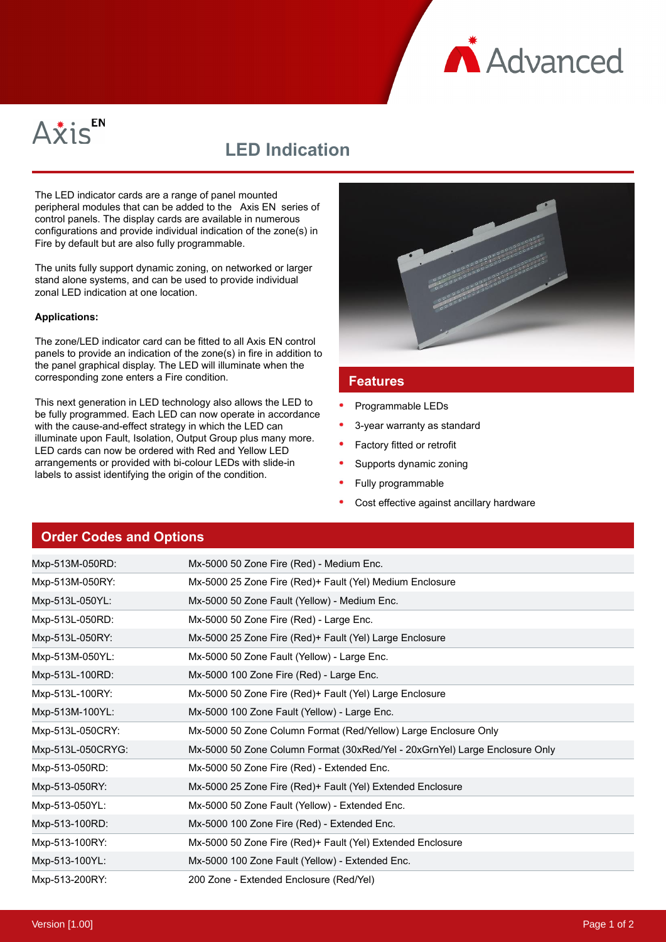**A** Advanced



## **LED Indication**

The LED indicator cards are a range of panel mounted peripheral modules that can be added to the Axis EN series of control panels. The display cards are available in numerous configurations and provide individual indication of the zone(s) in Fire by default but are also fully programmable.

The units fully support dynamic zoning, on networked or larger stand alone systems, and can be used to provide individual zonal LED indication at one location.

## **Applications:**

The zone/LED indicator card can be fitted to all Axis EN control panels to provide an indication of the zone(s) in fire in addition to the panel graphical display. The LED will illuminate when the corresponding zone enters a Fire condition.

This next generation in LED technology also allows the LED to be fully programmed. Each LED can now operate in accordance with the cause-and-effect strategy in which the LED can illuminate upon Fault, Isolation, Output Group plus many more. LED cards can now be ordered with Red and Yellow LED arrangements or provided with bi-colour LEDs with slide-in labels to assist identifying the origin of the condition.



## **Features**

- Programmable LEDs
- 3-year warranty as standard
- Factory fitted or retrofit
- Supports dynamic zoning
- Fully programmable
- Cost effective against ancillary hardware

## **Order Codes and Options**

| Mxp-513M-050RD:   | Mx-5000 50 Zone Fire (Red) - Medium Enc.                                    |
|-------------------|-----------------------------------------------------------------------------|
| Mxp-513M-050RY:   | Mx-5000 25 Zone Fire (Red)+ Fault (Yel) Medium Enclosure                    |
| Mxp-513L-050YL:   | Mx-5000 50 Zone Fault (Yellow) - Medium Enc.                                |
| Mxp-513L-050RD:   | Mx-5000 50 Zone Fire (Red) - Large Enc.                                     |
| Mxp-513L-050RY:   | Mx-5000 25 Zone Fire (Red)+ Fault (Yel) Large Enclosure                     |
| Mxp-513M-050YL:   | Mx-5000 50 Zone Fault (Yellow) - Large Enc.                                 |
| Mxp-513L-100RD:   | Mx-5000 100 Zone Fire (Red) - Large Enc.                                    |
| Mxp-513L-100RY:   | Mx-5000 50 Zone Fire (Red)+ Fault (Yel) Large Enclosure                     |
| Mxp-513M-100YL:   | Mx-5000 100 Zone Fault (Yellow) - Large Enc.                                |
| Mxp-513L-050CRY:  | Mx-5000 50 Zone Column Format (Red/Yellow) Large Enclosure Only             |
| Mxp-513L-050CRYG: | Mx-5000 50 Zone Column Format (30xRed/Yel - 20xGrnYel) Large Enclosure Only |
| Mxp-513-050RD:    | Mx-5000 50 Zone Fire (Red) - Extended Enc.                                  |
| Mxp-513-050RY:    | Mx-5000 25 Zone Fire (Red)+ Fault (Yel) Extended Enclosure                  |
| Mxp-513-050YL:    | Mx-5000 50 Zone Fault (Yellow) - Extended Enc.                              |
| Mxp-513-100RD:    | Mx-5000 100 Zone Fire (Red) - Extended Enc.                                 |
| Mxp-513-100RY:    | Mx-5000 50 Zone Fire (Red)+ Fault (Yel) Extended Enclosure                  |
| Mxp-513-100YL:    | Mx-5000 100 Zone Fault (Yellow) - Extended Enc.                             |
| Mxp-513-200RY:    | 200 Zone - Extended Enclosure (Red/Yel)                                     |